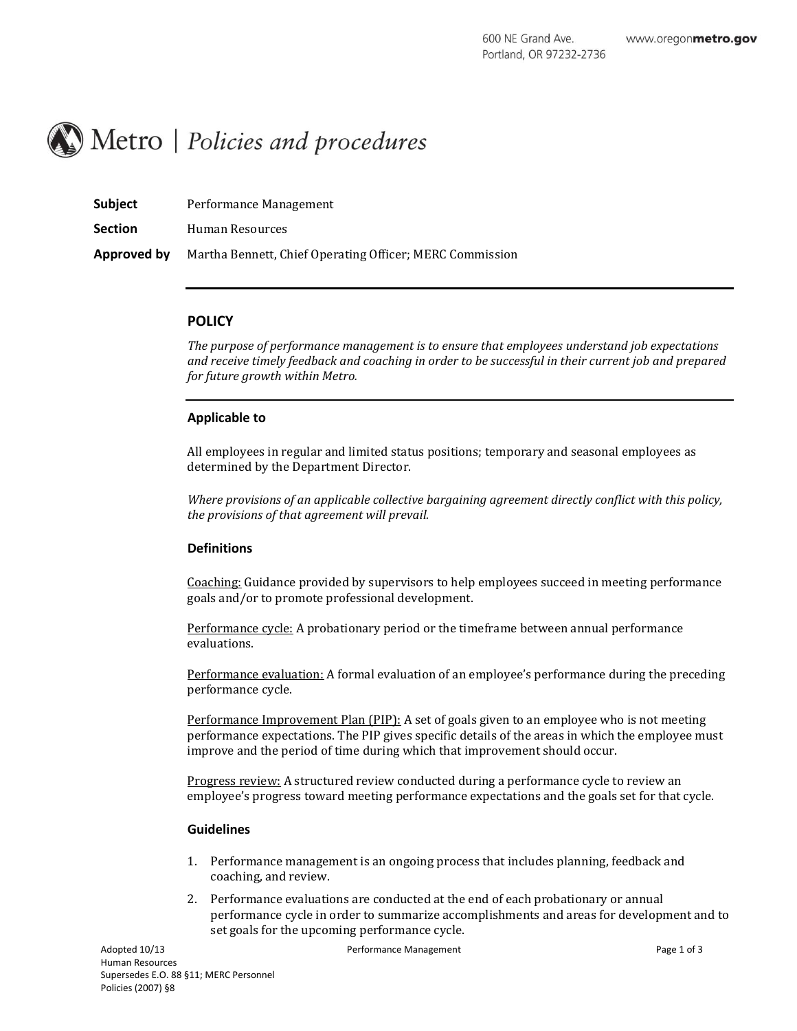

| <b>Subject</b> | Performance Management                                   |
|----------------|----------------------------------------------------------|
| <b>Section</b> | Human Resources                                          |
| Approved by    | Martha Bennett, Chief Operating Officer; MERC Commission |

# **POLICY**

*The purpose of performance management is to ensure that employees understand job expectations and receive timely feedback and coaching in order to be successful in their current job and prepared for future growth within Metro.* 

### **Applicable to**

All employees in regular and limited status positions; temporary and seasonal employees as determined by the Department Director.

*Where provisions of an applicable collective bargaining agreement directly conflict with this policy, the provisions of that agreement will prevail.*

### **Definitions**

Coaching: Guidance provided by supervisors to help employees succeed in meeting performance goals and/or to promote professional development.

Performance cycle: A probationary period or the timeframe between annual performance evaluations.

Performance evaluation: A formal evaluation of an employee's performance during the preceding performance cycle.

Performance Improvement Plan (PIP): A set of goals given to an employee who is not meeting performance expectations. The PIP gives specific details of the areas in which the employee must improve and the period of time during which that improvement should occur.

Progress review: A structured review conducted during a performance cycle to review an employee's progress toward meeting performance expectations and the goals set for that cycle.

#### **Guidelines**

- 1. Performance management is an ongoing process that includes planning, feedback and coaching, and review.
- 2. Performance evaluations are conducted at the end of each probationary or annual performance cycle in order to summarize accomplishments and areas for development and to set goals for the upcoming performance cycle.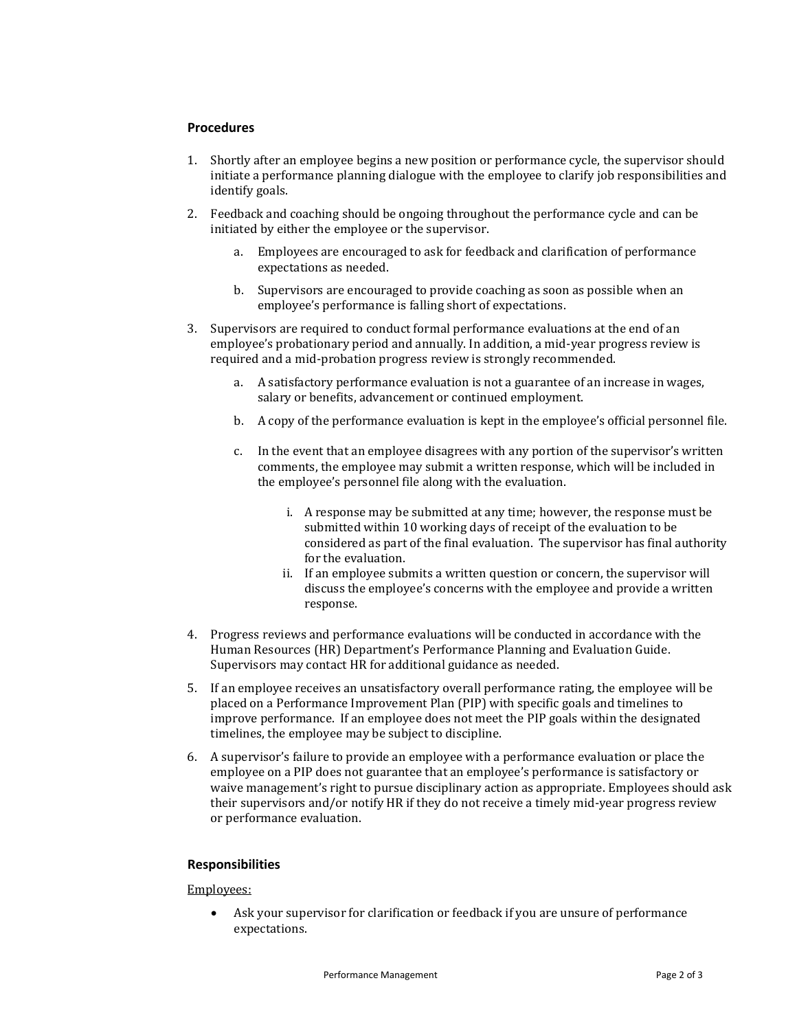## **Procedures**

- 1. Shortly after an employee begins a new position or performance cycle, the supervisor should initiate a performance planning dialogue with the employee to clarify job responsibilities and identify goals.
- 2. Feedback and coaching should be ongoing throughout the performance cycle and can be initiated by either the employee or the supervisor.
	- a. Employees are encouraged to ask for feedback and clarification of performance expectations as needed.
	- b. Supervisors are encouraged to provide coaching as soon as possible when an employee's performance is falling short of expectations.
- 3. Supervisors are required to conduct formal performance evaluations at the end of an employee's probationary period and annually. In addition, a mid-year progress review is required and a mid-probation progress review is strongly recommended.
	- a. A satisfactory performance evaluation is not a guarantee of an increase in wages, salary or benefits, advancement or continued employment.
	- b. A copy of the performance evaluation is kept in the employee's official personnel file.
	- c. In the event that an employee disagrees with any portion of the supervisor's written comments, the employee may submit a written response, which will be included in the employee's personnel file along with the evaluation.
		- i. A response may be submitted at any time; however, the response must be submitted within 10 working days of receipt of the evaluation to be considered as part of the final evaluation. The supervisor has final authority for the evaluation.
		- ii. If an employee submits a written question or concern, the supervisor will discuss the employee's concerns with the employee and provide a written response.
- 4. Progress reviews and performance evaluations will be conducted in accordance with the Human Resources (HR) Department's Performance Planning and Evaluation Guide. Supervisors may contact HR for additional guidance as needed.
- 5. If an employee receives an unsatisfactory overall performance rating, the employee will be placed on a Performance Improvement Plan (PIP) with specific goals and timelines to improve performance. If an employee does not meet the PIP goals within the designated timelines, the employee may be subject to discipline.
- 6. A supervisor's failure to provide an employee with a performance evaluation or place the employee on a PIP does not guarantee that an employee's performance is satisfactory or waive management's right to pursue disciplinary action as appropriate. Employees should ask their supervisors and/or notify HR if they do not receive a timely mid-year progress review or performance evaluation.

### **Responsibilities**

### Employees:

 Ask your supervisor for clarification or feedback if you are unsure of performance expectations.